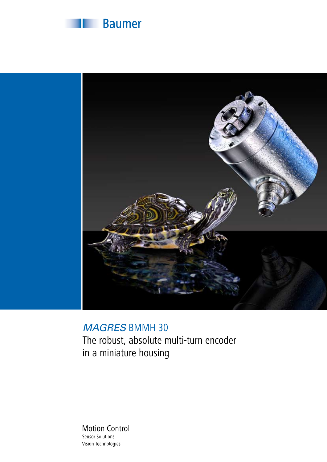



### *MAGRES* BMMH 30

The robust, absolute multi-turn encoder in a miniature housing

**Motion Control** Sensor Solutions Vision Technologies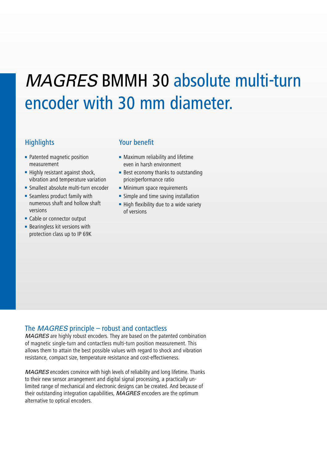# *MAGRES* BMMH 30 absolute multi-turn encoder with 30 mm diameter.

- Patented magnetic position measurement
- Highly resistant against shock, vibration and temperature variation
- Smallest absolute multi-turn encoder
- Seamless product family with numerous shaft and hollow shaft versions
- Cable or connector output
- Bearingless kit versions with protection class up to IP 69K

#### Highlights Your benefit

- Maximum reliability and lifetime even in harsh environment
- Best economy thanks to outstanding price/performance ratio
- Minimum space requirements
- Simple and time saving installation
- High flexibility due to a wide variety of versions

#### The *MAGRES* principle – robust and contactless

*MAGRES* are highly robust encoders. They are based on the patented combination of magnetic single-turn and contactless multi-turn position measurement. This allows them to attain the best possible values with regard to shock and vibration resistance, compact size, temperature resistance and cost-effectiveness.

*MAGRES* encoders convince with high levels of reliability and long lifetime. Thanks to their new sensor arrangement and digital signal processing, a practically unlimited range of mechanical and electronic designs can be created. And because of their outstanding integration capabilities, *MAGRES* encoders are the optimum alternative to optical encoders.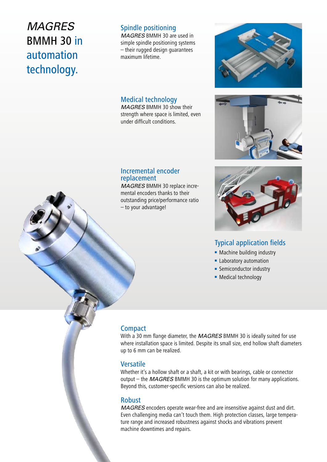### *MAGRES* BMMH 30 in automation technology.

### Spindle positioning

*MAGRES* BMMH 30 are used in simple spindle positioning systems – their rugged design guarantees maximum lifetime.

#### Medical technology

*MAGRES* BMMH 30 show their strength where space is limited, even under difficult conditions.





#### Incremental encoder replacement

*MAGRES* BMMH 30 replace incremental encoders thanks to their outstanding price/performance ratio – to your advantage!



#### Typical application fields

- Machine building industry
- Laboratory automation
- Semiconductor industry
- Medical technology

#### **Compact**

With a 30 mm flange diameter, the *MAGRES* BMMH 30 is ideally suited for use where installation space is limited. Despite its small size, end hollow shaft diameters up to 6 mm can be realized.

#### Versatile

Whether it's a hollow shaft or a shaft, a kit or with bearings, cable or connector output – the *MAGRES* BMMH 30 is the optimum solution for many applications. Beyond this, customer-specific versions can also be realized.

#### Robust

*MAGRES* encoders operate wear-free and are insensitive against dust and dirt. Even challenging media can't touch them. High protection classes, large temperature range and increased robustness against shocks and vibrations prevent machine downtimes and repairs.